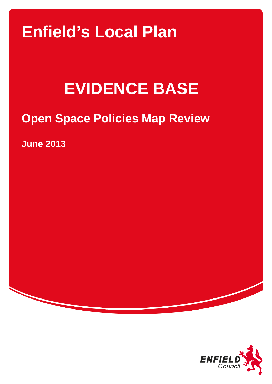## **Enfield's Local Plan**

# **EVIDENCE BASE**

## **Open Space Policies Map Review**

**June 2013** 

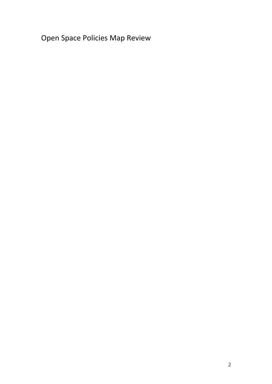Open Space Policies Map Review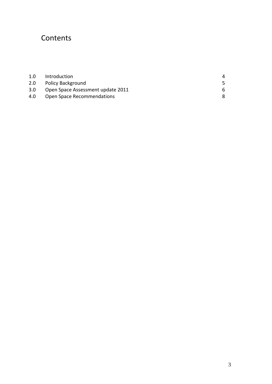## **Contents**

| 1.0 | Introduction                      | 4  |
|-----|-----------------------------------|----|
| 2.0 | <b>Policy Background</b>          |    |
| 3.0 | Open Space Assessment update 2011 | 6. |
| 4.0 | Open Space Recommendations        |    |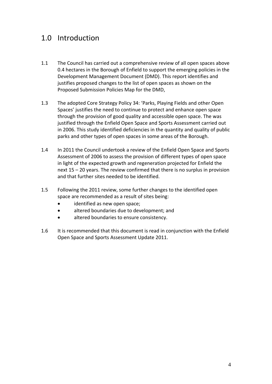## 1.0 Introduction

- 1.1 The Council has carried out a comprehensive review of all open spaces above 0.4 hectares in the Borough of Enfield to support the emerging policies in the Development Management Document (DMD). This report identifies and justifies proposed changes to the list of open spaces as shown on the Proposed Submission Policies Map for the DMD,
- 1.3 The adopted Core Strategy Policy 34: 'Parks, Playing Fields and other Open Spaces' justifies the need to continue to protect and enhance open space through the provision of good quality and accessible open space. The was justified through the Enfield Open Space and Sports Assessment carried out in 2006. This study identified deficiencies in the quantity and quality of public parks and other types of open spaces in some areas of the Borough.
- 1.4 In 2011 the Council undertook a review of the Enfield Open Space and Sports Assessment of 2006 to assess the provision of different types of open space in light of the expected growth and regeneration projected for Enfield the next 15 – 20 years. The review confirmed that there is no surplus in provision and that further sites needed to be identified.
- 1.5 Following the 2011 review, some further changes to the identified open space are recommended as a result of sites being:
	- identified as new open space;
	- altered boundaries due to development; and
	- altered boundaries to ensure consistency.
- 1.6 It is recommended that this document is read in conjunction with the Enfield Open Space and Sports Assessment Update 2011.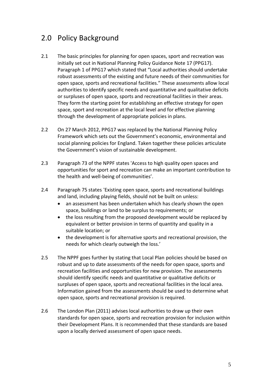## 2.0 Policy Background

- 2.1 The basic principles for planning for open spaces, sport and recreation was initially set out in National Planning Policy Guidance Note 17 (PPG17). Paragraph 1 of PPG17 which stated that "Local authorities should undertake robust assessments of the existing and future needs of their communities for open space, sports and recreational facilities." These assessments allow local authorities to identify specific needs and quantitative and qualitative deficits or surpluses of open space, sports and recreational facilities in their areas. They form the starting point for establishing an effective strategy for open space, sport and recreation at the local level and for effective planning through the development of appropriate policies in plans.
- 2.2 On 27 March 2012, PPG17 was replaced by the National Planning Policy Framework which sets out the Government's economic, environmental and social planning policies for England. Taken together these policies articulate the Government's vision of sustainable development.
- 2.3 Paragraph 73 of the NPPF states 'Access to high quality open spaces and opportunities for sport and recreation can make an important contribution to the health and well‐being of communities'.
- 2.4 Paragraph 75 states 'Existing open space, sports and recreational buildings and land, including playing fields, should not be built on unless:
	- an assessment has been undertaken which has clearly shown the open space, buildings or land to be surplus to requirements; or
	- the loss resulting from the proposed development would be replaced by equivalent or better provision in terms of quantity and quality in a suitable location; or
	- the development is for alternative sports and recreational provision, the needs for which clearly outweigh the loss.'
- 2.5 The NPPF goes further by stating that Local Plan policies should be based on robust and up to date assessments of the needs for open space, sports and recreation facilities and opportunities for new provision. The assessments should identify specific needs and quantitative or qualitative deficits or surpluses of open space, sports and recreational facilities in the local area. Information gained from the assessments should be used to determine what open space, sports and recreational provision is required.
- 2.6 The London Plan (2011) advises local authorities to draw up their own standards for open space, sports and recreation provision for inclusion within their Development Plans. It is recommended that these standards are based upon a locally derived assessment of open space needs.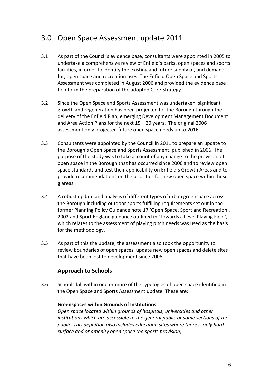## 3.0 Open Space Assessment update 2011

- 3.1 As part of the Council's evidence base, consultants were appointed in 2005 to undertake a comprehensive review of Enfield's parks, open spaces and sports facilities, in order to identify the existing and future supply of, and demand for, open space and recreation uses. The Enfield Open Space and Sports Assessment was completed in August 2006 and provided the evidence base to inform the preparation of the adopted Core Strategy.
- 3.2 Since the Open Space and Sports Assessment was undertaken, significant growth and regeneration has been projected for the Borough through the delivery of the Enfield Plan, emerging Development Management Document and Area Action Plans for the next 15 – 20 years. The original 2006 assessment only projected future open space needs up to 2016.
- 3.3 Consultants were appointed by the Council in 2011 to prepare an update to the Borough's Open Space and Sports Assessment, published in 2006. The purpose of the study was to take account of any change to the provision of open space in the Borough that has occurred since 2006 and to review open space standards and test their applicability on Enfield's Growth Areas and to provide recommendations on the priorities for new open space within these g areas.
- 3.4 A robust update and analysis of different types of urban greenspace across the Borough including outdoor sports fulfilling requirements set out in the former Planning Policy Guidance note 17 'Open Space, Sport and Recreation', 2002 and Sport England guidance outlined in 'Towards a Level Playing Field', which relates to the assessment of playing pitch needs was used as the basis for the methodology.
- 3.5 As part of this the update, the assessment also took the opportunity to review boundaries of open spaces, update new open spaces and delete sites that have been lost to development since 2006.

#### **Approach to Schools**

3.6 Schools fall within one or more of the typologies of open space identified in the Open Space and Sports Assessment update. These are:

#### **Greenspaces within Grounds of Institutions**

*Open space located within grounds of hospitals, universities and other institutions which are accessible to the general public or some sections of the public. This definition also includes education sites where there is only hard surface and or amenity open space (no sports provision).*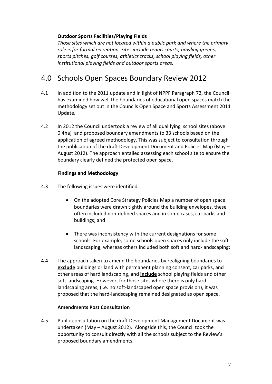#### **Outdoor Sports Facilities/Playing Fields**

*Those sites which are not located within a public park and where the primary role is for formal recreation. Sites include tennis courts, bowling greens, sports pitches, golf courses, athletics tracks, school playing fields, other institutional playing fields and outdoor sports areas.*

### 4.0 Schools Open Spaces Boundary Review 2012

- 4.1 In addition to the 2011 update and in light of NPPF Paragraph 72, the Council has examined how well the boundaries of educational open spaces match the methodology set out in the Councils Open Space and Sports Assessment 2011 Update.
- 4.2 In 2012 the Council undertook a review of all qualifying school sites (above 0.4ha) and proposed boundary amendments to 33 schools based on the application of agreed methodology. This was subject to consultation through the publication of the draft Development Document and Policies Map (May – August 2012). The approach entailed assessing each school site to ensure the boundary clearly defined the protected open space.

#### **Findings and Methodology**

- 4.3 The following issues were identified:
	- On the adopted Core Strategy Policies Map a number of open space boundaries were drawn tightly around the building envelopes, these often included non‐defined spaces and in some cases, car parks and buildings; and
	- There was inconsistency with the current designations for some schools. For example, some schools open spaces only include the soft‐ landscaping, whereas others included both soft and hard-landscaping;
- 4.4 The approach taken to amend the boundaries by realigning boundaries to **exclude** buildings or land with permanent planning consent, car parks, and other areas of hard landscaping, and **include** school playing fields and other soft landscaping. However, for those sites where there is only hard‐ landscaping areas, (i.e. no soft‐landscaped open space provision), it was proposed that the hard‐landscaping remained designated as open space.

#### **Amendments Post Consultation**

4.5 Public consultation on the draft Development Management Document was undertaken (May – August 2012). Alongside this, the Council took the opportunity to consult directly with all the schools subject to the Review's proposed boundary amendments.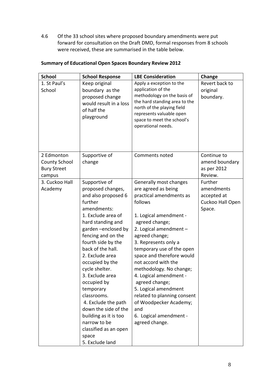4.6 Of the 33 school sites where proposed boundary amendments were put forward for consultation on the Draft DMD, formal responses from 8 schools were received, these are summarised in the table below.

| <b>School</b>                                                      | <b>School Response</b>                                                                                                                                                                                                                                                                                                                                                                                                                                                                   | <b>LBE Consideration</b>                                                                                                                                                                                                                                                                                                                                                                                                                                                                        | Change                                                             |
|--------------------------------------------------------------------|------------------------------------------------------------------------------------------------------------------------------------------------------------------------------------------------------------------------------------------------------------------------------------------------------------------------------------------------------------------------------------------------------------------------------------------------------------------------------------------|-------------------------------------------------------------------------------------------------------------------------------------------------------------------------------------------------------------------------------------------------------------------------------------------------------------------------------------------------------------------------------------------------------------------------------------------------------------------------------------------------|--------------------------------------------------------------------|
| 1. St Paul's<br>School                                             | Keep original<br>boundary as the<br>proposed change<br>would result in a loss<br>of half the<br>playground                                                                                                                                                                                                                                                                                                                                                                               | Apply a exception to the<br>application of the<br>methodology on the basis of<br>the hard standing area to the<br>north of the playing field<br>represents valuable open<br>space to meet the school's<br>operational needs.                                                                                                                                                                                                                                                                    | Revert back to<br>original<br>boundary.                            |
| 2 Edmonton<br><b>County School</b><br><b>Bury Street</b><br>campus | Supportive of<br>change                                                                                                                                                                                                                                                                                                                                                                                                                                                                  | Comments noted                                                                                                                                                                                                                                                                                                                                                                                                                                                                                  | Continue to<br>amend boundary<br>as per 2012<br>Review.            |
| 3. Cuckoo Hall<br>Academy                                          | Supportive of<br>proposed changes,<br>and also proposed 6<br>further<br>amendments:<br>1. Exclude area of<br>hard standing and<br>garden-enclosed by<br>fencing and on the<br>fourth side by the<br>back of the hall.<br>2. Exclude area<br>occupied by the<br>cycle shelter.<br>3. Exclude area<br>occupied by<br>temporary<br>classrooms.<br>4. Exclude the path<br>down the side of the<br>building as it is too<br>narrow to be<br>classified as an open<br>space<br>5. Exclude land | Generally most changes<br>are agreed as being<br>practical amendments as<br>follows<br>1. Logical amendment -<br>agreed change;<br>2. Logical amendment -<br>agreed change;<br>3. Represents only a<br>temporary use of the open<br>space and therefore would<br>not accord with the<br>methodology. No change;<br>4. Logical amendment -<br>agreed change;<br>5. Logical amendment<br>related to planning consent<br>of Woodpecker Academy;<br>and<br>6. Logical amendment -<br>agreed change. | Further<br>amendments<br>accepted at<br>Cuckoo Hall Open<br>Space. |

#### **Summary of Educational Open Spaces Boundary Review 2012**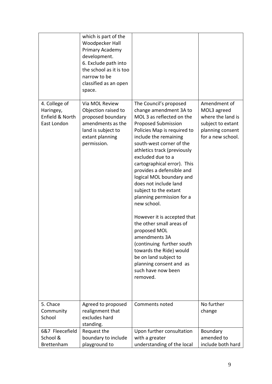|                                                              | which is part of the<br>Woodpecker Hall<br>Primary Academy<br>development.<br>6. Exclude path into<br>the school as it is too<br>narrow to be<br>classified as an open<br>space. |                                                                                                                                                                                                                                                                                                                                                                                                                                                                                                                                                                                                                                                                                     |                                                                                                                |
|--------------------------------------------------------------|----------------------------------------------------------------------------------------------------------------------------------------------------------------------------------|-------------------------------------------------------------------------------------------------------------------------------------------------------------------------------------------------------------------------------------------------------------------------------------------------------------------------------------------------------------------------------------------------------------------------------------------------------------------------------------------------------------------------------------------------------------------------------------------------------------------------------------------------------------------------------------|----------------------------------------------------------------------------------------------------------------|
| 4. College of<br>Haringey,<br>Enfield & North<br>East London | Via MOL Review<br>Objection raised to<br>proposed boundary<br>amendments as the<br>land is subject to<br>extant planning<br>permission.                                          | The Council's proposed<br>change amendment 3A to<br>MOL 3 as reflected on the<br><b>Proposed Submission</b><br>Policies Map is required to<br>include the remaining<br>south-west corner of the<br>athletics track (previously<br>excluded due to a<br>cartographical error). This<br>provides a defensible and<br>logical MOL boundary and<br>does not include land<br>subject to the extant<br>planning permission for a<br>new school.<br>However it is accepted that<br>the other small areas of<br>proposed MOL<br>amendments 3A<br>(continuing further south<br>towards the Ride) would<br>be on land subject to<br>planning consent and as<br>such have now been<br>removed. | Amendment of<br>MOL3 agreed<br>where the land is<br>subject to extant<br>planning consent<br>for a new school. |
| 5. Chace<br>Community<br>School                              | Agreed to proposed<br>realignment that<br>excludes hard<br>standing.                                                                                                             | Comments noted                                                                                                                                                                                                                                                                                                                                                                                                                                                                                                                                                                                                                                                                      | No further<br>change                                                                                           |
| 6&7 Fleecefield<br>School &<br>Brettenham                    | Request the<br>boundary to include<br>playground to                                                                                                                              | Upon further consultation<br>with a greater<br>understanding of the local                                                                                                                                                                                                                                                                                                                                                                                                                                                                                                                                                                                                           | Boundary<br>amended to<br>include both hard                                                                    |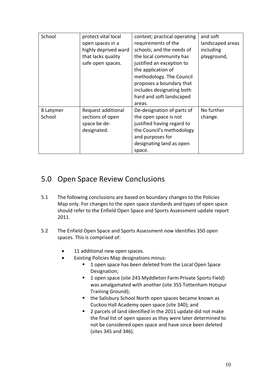| School              | protect vital local<br>open spaces in a<br>highly deprived ward<br>that lacks quality<br>safe open spaces. | context; practical operating<br>requirements of the<br>schools; and the needs of<br>the local community has<br>justified an exception to<br>the application of<br>methodology. The Council<br>proposes a boundary that<br>includes designating both<br>hard and soft landscaped<br>areas. | and soft<br>landscaped areas<br>including<br>playground, |
|---------------------|------------------------------------------------------------------------------------------------------------|-------------------------------------------------------------------------------------------------------------------------------------------------------------------------------------------------------------------------------------------------------------------------------------------|----------------------------------------------------------|
| 8 Latymer<br>School | Request additional<br>sections of open<br>space be de-<br>designated.                                      | De-designation of parts of<br>the open space is not<br>justified having regard to<br>the Council's methodology<br>and purposes for<br>designating land as open<br>space.                                                                                                                  | No further<br>change.                                    |

### 5.0 Open Space Review Conclusions

- 5.1 The following conclusions are based on boundary changes to the Policies Map only. For changes to the open space standards and types of open space should refer to the Enfield Open Space and Sports Assessment update report 2011.
- 5.2 The Enfield Open Space and Sports Assessment now identifies 350 open spaces. This is comprised of:
	- 11 additional new open spaces.
	- Existing Policies Map designations minus:
		- **1** open space has been deleted from the Local Open Space Designation;
		- 1 open space (site 243 Myddleton Farm Private Sports Field) was amalgamated with another (site 355 Tottenham Hotspur Training Ground);
		- the Salisbury School North open spaces became known as Cuckoo Hall Academy open space (site 340); and
		- **2** parcels of land identified in the 2011 update did not make the final list of open spaces as they were later determined to not be considered open space and have since been deleted (sites 345 and 346).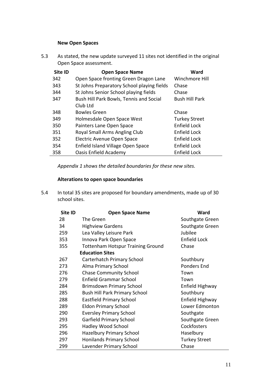#### **New Open Spaces**

5.3 As stated, the new update surveyed 11 sites not identified in the original Open Space assessment.

| Site ID | <b>Open Space Name</b>                     | Ward                  |
|---------|--------------------------------------------|-----------------------|
| 342     | Open Space fronting Green Dragon Lane      | Winchmore Hill        |
| 343     | St Johns Preparatory School playing fields | Chase                 |
| 344     | St Johns Senior School playing fields      | Chase                 |
| 347     | Bush Hill Park Bowls, Tennis and Social    | <b>Bush Hill Park</b> |
|         | Club Ltd                                   |                       |
| 348     | <b>Bowles Green</b>                        | Chase                 |
| 349     | Holmesdale Open Space West                 | <b>Turkey Street</b>  |
| 350     | Painters Lane Open Space                   | Enfield Lock          |
| 351     | Royal Small Arms Angling Club              | Enfield Lock          |
| 352     | Electric Avenue Open Space                 | Enfield Lock          |
| 354     | Enfield Island Village Open Space          | Enfield Lock          |
| 358     | Oasis Enfield Academy                      | Enfield Lock          |

*Appendix 1 shows the detailed boundaries for these new sites.* 

#### **Alterations to open space boundaries**

5.4 In total 35 sites are proposed for boundary amendments, made up of 30 school sites.

| Site ID | <b>Open Space Name</b>                   | Ward                 |
|---------|------------------------------------------|----------------------|
| 28      | The Green                                | Southgate Green      |
| 34      | <b>Highview Gardens</b>                  | Southgate Green      |
| 259     | Lea Valley Leisure Park                  | Jubilee              |
| 353     | Innova Park Open Space                   | <b>Enfield Lock</b>  |
| 355     | <b>Tottenham Hotspur Training Ground</b> | Chase                |
|         | <b>Education Sites</b>                   |                      |
| 267     | Carterhatch Primary School               | Southbury            |
| 273     | Alma Primary School                      | <b>Ponders End</b>   |
| 276     | <b>Chase Community School</b>            | Town                 |
| 279     | <b>Enfield Grammar School</b>            | Town                 |
| 284     | Brimsdown Primary School                 | Enfield Highway      |
| 285     | <b>Bush Hill Park Primary School</b>     | Southbury            |
| 288     | <b>Eastfield Primary School</b>          | Enfield Highway      |
| 289     | <b>Eldon Primary School</b>              | Lower Edmonton       |
| 290     | <b>Eversley Primary School</b>           | Southgate            |
| 293     | Garfield Primary School                  | Southgate Green      |
| 295     | Hadley Wood School                       | Cockfosters          |
| 296     | <b>Hazelbury Primary School</b>          | Haselbury            |
| 297     | <b>Honilands Primary School</b>          | <b>Turkey Street</b> |
| 299     | Lavender Primary School                  | Chase                |